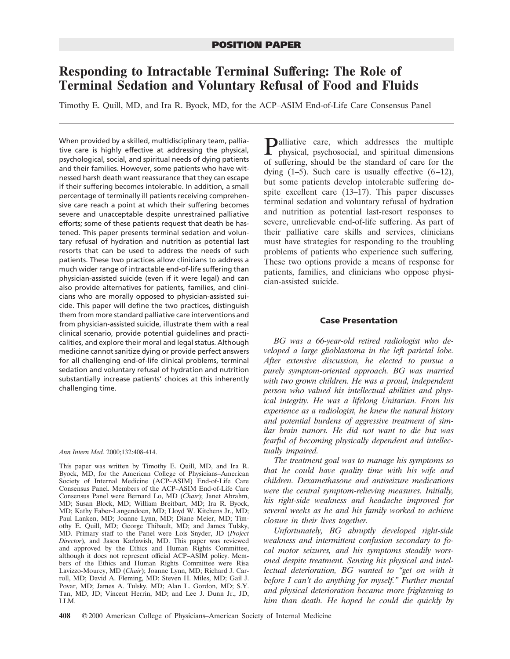# **Responding to Intractable Terminal Suffering: The Role of Terminal Sedation and Voluntary Refusal of Food and Fluids**

Timothy E. Quill, MD, and Ira R. Byock, MD, for the ACP–ASIM End-of-Life Care Consensus Panel

When provided by a skilled, multidisciplinary team, palliative care is highly effective at addressing the physical, psychological, social, and spiritual needs of dying patients and their families. However, some patients who have witnessed harsh death want reassurance that they can escape if their suffering becomes intolerable. In addition, a small percentage of terminally ill patients receiving comprehensive care reach a point at which their suffering becomes severe and unacceptable despite unrestrained palliative efforts; some of these patients request that death be hastened. This paper presents terminal sedation and voluntary refusal of hydration and nutrition as potential last resorts that can be used to address the needs of such patients. These two practices allow clinicians to address a much wider range of intractable end-of-life suffering than physician-assisted suicide (even if it were legal) and can also provide alternatives for patients, families, and clinicians who are morally opposed to physician-assisted suicide. This paper will define the two practices, distinguish them from more standard palliative care interventions and from physician-assisted suicide, illustrate them with a real clinical scenario, provide potential guidelines and practicalities, and explore their moral and legal status. Although medicine cannot sanitize dying or provide perfect answers for all challenging end-of-life clinical problems, terminal sedation and voluntary refusal of hydration and nutrition substantially increase patients' choices at this inherently challenging time.

#### *Ann Intern Med.* 2000;132:408-414.

This paper was written by Timothy E. Quill, MD, and Ira R. Byock, MD, for the American College of Physicians–American Society of Internal Medicine (ACP–ASIM) End-of-Life Care Consensus Panel. Members of the ACP–ASIM End-of-Life Care Consensus Panel were Bernard Lo, MD (*Chair*); Janet Abrahm, MD; Susan Block, MD; William Breitbart, MD; Ira R. Byock, MD; Kathy Faber-Langendoen, MD; Lloyd W. Kitchens Jr., MD; Paul Lanken, MD; Joanne Lynn, MD; Diane Meier, MD; Timothy E. Quill, MD; George Thibault, MD; and James Tulsky, MD. Primary staff to the Panel were Lois Snyder, JD (*Project Director*), and Jason Karlawish, MD. This paper was reviewed and approved by the Ethics and Human Rights Committee, although it does not represent official ACP–ASIM policy. Members of the Ethics and Human Rights Committee were Risa Lavizzo-Mourey, MD (*Chair*); Joanne Lynn, MD; Richard J. Carroll, MD; David A. Fleming, MD; Steven H. Miles, MD; Gail J. Povar, MD; James A. Tulsky, MD; Alan L. Gordon, MD; S.Y. Tan, MD, JD; Vincent Herrin, MD; and Lee J. Dunn Jr., JD, LLM.

Palliative care, which addresses the multiple<br>physical psychococial physical, psychosocial, and spiritual dimensions of suffering, should be the standard of care for the dying  $(1-5)$ . Such care is usually effective  $(6-12)$ , but some patients develop intolerable suffering despite excellent care (13–17). This paper discusses terminal sedation and voluntary refusal of hydration and nutrition as potential last-resort responses to severe, unrelievable end-of-life suffering. As part of their palliative care skills and services, clinicians must have strategies for responding to the troubling problems of patients who experience such suffering. These two options provide a means of response for patients, families, and clinicians who oppose physician-assisted suicide.

#### **Case Presentation**

*BG was a 66-year-old retired radiologist who developed a large glioblastoma in the left parietal lobe. After extensive discussion, he elected to pursue a purely symptom-oriented approach. BG was married with two grown children. He was a proud, independent person who valued his intellectual abilities and physical integrity. He was a lifelong Unitarian. From his experience as a radiologist, he knew the natural history and potential burdens of aggressive treatment of similar brain tumors. He did not want to die but was fearful of becoming physically dependent and intellectually impaired.*

*The treatment goal was to manage his symptoms so that he could have quality time with his wife and children. Dexamethasone and antiseizure medications were the central symptom-relieving measures. Initially, his right-side weakness and headache improved for several weeks as he and his family worked to achieve closure in their lives together.*

*Unfortunately, BG abruptly developed right-side weakness and intermittent confusion secondary to focal motor seizures, and his symptoms steadily worsened despite treatment. Sensing his physical and intellectual deterioration, BG wanted to "get on with it before I can't do anything for myself." Further mental and physical deterioration became more frightening to him than death. He hoped he could die quickly by*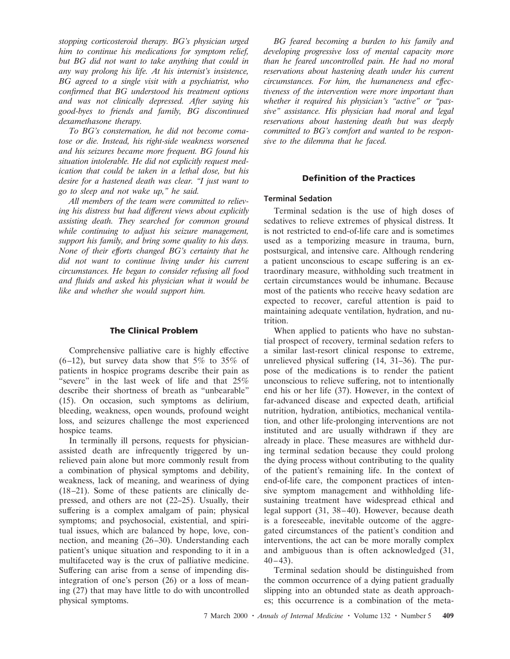*stopping corticosteroid therapy. BG's physician urged him to continue his medications for symptom relief, but BG did not want to take anything that could in any way prolong his life. At his internist's insistence, BG agreed to a single visit with a psychiatrist, who confirmed that BG understood his treatment options and was not clinically depressed. After saying his good-byes to friends and family, BG discontinued dexamethasone therapy.*

*To BG's consternation, he did not become comatose or die. Instead, his right-side weakness worsened and his seizures became more frequent. BG found his situation intolerable. He did not explicitly request medication that could be taken in a lethal dose, but his desire for a hastened death was clear. "I just want to go to sleep and not wake up," he said.*

*All members of the team were committed to relieving his distress but had different views about explicitly assisting death. They searched for common ground while continuing to adjust his seizure management, support his family, and bring some quality to his days. None of their efforts changed BG's certainty that he did not want to continue living under his current circumstances. He began to consider refusing all food and fluids and asked his physician what it would be like and whether she would support him.*

## **The Clinical Problem**

Comprehensive palliative care is highly effective  $(6-12)$ , but survey data show that 5% to 35% of patients in hospice programs describe their pain as "severe" in the last week of life and that 25% describe their shortness of breath as "unbearable" (15). On occasion, such symptoms as delirium, bleeding, weakness, open wounds, profound weight loss, and seizures challenge the most experienced hospice teams.

In terminally ill persons, requests for physicianassisted death are infrequently triggered by unrelieved pain alone but more commonly result from a combination of physical symptoms and debility, weakness, lack of meaning, and weariness of dying (18–21). Some of these patients are clinically depressed, and others are not (22–25). Usually, their suffering is a complex amalgam of pain; physical symptoms; and psychosocial, existential, and spiritual issues, which are balanced by hope, love, connection, and meaning (26–30). Understanding each patient's unique situation and responding to it in a multifaceted way is the crux of palliative medicine. Suffering can arise from a sense of impending disintegration of one's person (26) or a loss of meaning (27) that may have little to do with uncontrolled physical symptoms.

*BG feared becoming a burden to his family and developing progressive loss of mental capacity more than he feared uncontrolled pain. He had no moral reservations about hastening death under his current circumstances. For him, the humaneness and effectiveness of the intervention were more important than whether it required his physician's "active" or "passive" assistance. His physician had moral and legal reservations about hastening death but was deeply committed to BG's comfort and wanted to be responsive to the dilemma that he faced.*

# **Definition of the Practices**

## **Terminal Sedation**

Terminal sedation is the use of high doses of sedatives to relieve extremes of physical distress. It is not restricted to end-of-life care and is sometimes used as a temporizing measure in trauma, burn, postsurgical, and intensive care. Although rendering a patient unconscious to escape suffering is an extraordinary measure, withholding such treatment in certain circumstances would be inhumane. Because most of the patients who receive heavy sedation are expected to recover, careful attention is paid to maintaining adequate ventilation, hydration, and nutrition.

When applied to patients who have no substantial prospect of recovery, terminal sedation refers to a similar last-resort clinical response to extreme, unrelieved physical suffering (14, 31–36). The purpose of the medications is to render the patient unconscious to relieve suffering, not to intentionally end his or her life (37). However, in the context of far-advanced disease and expected death, artificial nutrition, hydration, antibiotics, mechanical ventilation, and other life-prolonging interventions are not instituted and are usually withdrawn if they are already in place. These measures are withheld during terminal sedation because they could prolong the dying process without contributing to the quality of the patient's remaining life. In the context of end-of-life care, the component practices of intensive symptom management and withholding lifesustaining treatment have widespread ethical and legal support (31, 38–40). However, because death is a foreseeable, inevitable outcome of the aggregated circumstances of the patient's condition and interventions, the act can be more morally complex and ambiguous than is often acknowledged (31,  $40 - 43$ ).

Terminal sedation should be distinguished from the common occurrence of a dying patient gradually slipping into an obtunded state as death approaches; this occurrence is a combination of the meta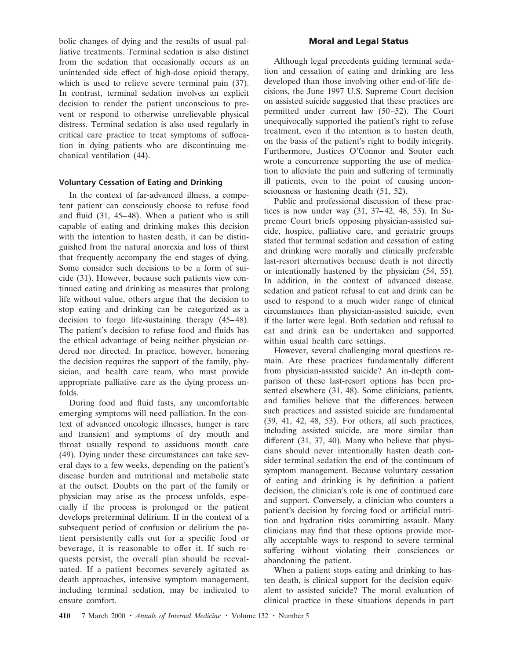bolic changes of dying and the results of usual palliative treatments. Terminal sedation is also distinct from the sedation that occasionally occurs as an unintended side effect of high-dose opioid therapy, which is used to relieve severe terminal pain (37). In contrast, terminal sedation involves an explicit decision to render the patient unconscious to prevent or respond to otherwise unrelievable physical distress. Terminal sedation is also used regularly in critical care practice to treat symptoms of suffocation in dying patients who are discontinuing mechanical ventilation (44).

# **Voluntary Cessation of Eating and Drinking**

In the context of far-advanced illness, a competent patient can consciously choose to refuse food and fluid (31, 45–48). When a patient who is still capable of eating and drinking makes this decision with the intention to hasten death, it can be distinguished from the natural anorexia and loss of thirst that frequently accompany the end stages of dying. Some consider such decisions to be a form of suicide (31). However, because such patients view continued eating and drinking as measures that prolong life without value, others argue that the decision to stop eating and drinking can be categorized as a decision to forgo life-sustaining therapy (45–48). The patient's decision to refuse food and fluids has the ethical advantage of being neither physician ordered nor directed. In practice, however, honoring the decision requires the support of the family, physician, and health care team, who must provide appropriate palliative care as the dying process unfolds.

During food and fluid fasts, any uncomfortable emerging symptoms will need palliation. In the context of advanced oncologic illnesses, hunger is rare and transient and symptoms of dry mouth and throat usually respond to assiduous mouth care (49). Dying under these circumstances can take several days to a few weeks, depending on the patient's disease burden and nutritional and metabolic state at the outset. Doubts on the part of the family or physician may arise as the process unfolds, especially if the process is prolonged or the patient develops preterminal delirium. If in the context of a subsequent period of confusion or delirium the patient persistently calls out for a specific food or beverage, it is reasonable to offer it. If such requests persist, the overall plan should be reevaluated. If a patient becomes severely agitated as death approaches, intensive symptom management, including terminal sedation, may be indicated to ensure comfort.

# **Moral and Legal Status**

Although legal precedents guiding terminal sedation and cessation of eating and drinking are less developed than those involving other end-of-life decisions, the June 1997 U.S. Supreme Court decision on assisted suicide suggested that these practices are permitted under current law (50–52). The Court unequivocally supported the patient's right to refuse treatment, even if the intention is to hasten death, on the basis of the patient's right to bodily integrity. Furthermore, Justices O'Connor and Souter each wrote a concurrence supporting the use of medication to alleviate the pain and suffering of terminally ill patients, even to the point of causing unconsciousness or hastening death (51, 52).

Public and professional discussion of these practices is now under way (31, 37–42, 48, 53). In Supreme Court briefs opposing physician-assisted suicide, hospice, palliative care, and geriatric groups stated that terminal sedation and cessation of eating and drinking were morally and clinically preferable last-resort alternatives because death is not directly or intentionally hastened by the physician (54, 55). In addition, in the context of advanced disease, sedation and patient refusal to eat and drink can be used to respond to a much wider range of clinical circumstances than physician-assisted suicide, even if the latter were legal. Both sedation and refusal to eat and drink can be undertaken and supported within usual health care settings.

However, several challenging moral questions remain. Are these practices fundamentally different from physician-assisted suicide? An in-depth comparison of these last-resort options has been presented elsewhere (31, 48). Some clinicians, patients, and families believe that the differences between such practices and assisted suicide are fundamental (39, 41, 42, 48, 53). For others, all such practices, including assisted suicide, are more similar than different (31, 37, 40). Many who believe that physicians should never intentionally hasten death consider terminal sedation the end of the continuum of symptom management. Because voluntary cessation of eating and drinking is by definition a patient decision, the clinician's role is one of continued care and support. Conversely, a clinician who counters a patient's decision by forcing food or artificial nutrition and hydration risks committing assault. Many clinicians may find that these options provide morally acceptable ways to respond to severe terminal suffering without violating their consciences or abandoning the patient.

When a patient stops eating and drinking to hasten death, is clinical support for the decision equivalent to assisted suicide? The moral evaluation of clinical practice in these situations depends in part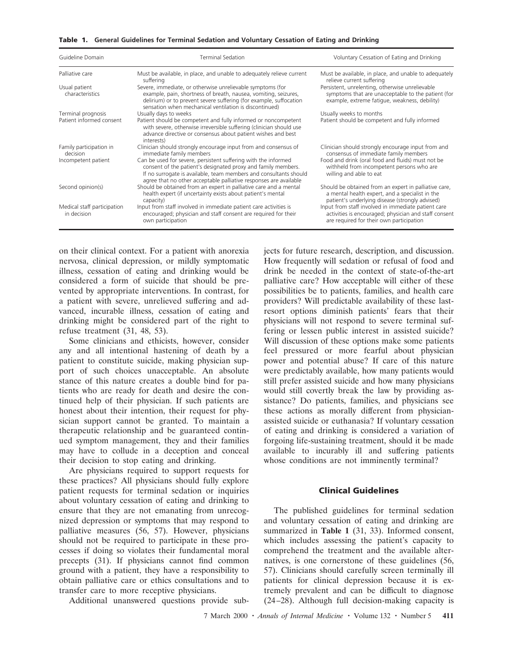| Guideline Domain                           | <b>Terminal Sedation</b>                                                                                                                                                                                                                                                  | Voluntary Cessation of Eating and Drinking                                                                                                                  |  |
|--------------------------------------------|---------------------------------------------------------------------------------------------------------------------------------------------------------------------------------------------------------------------------------------------------------------------------|-------------------------------------------------------------------------------------------------------------------------------------------------------------|--|
| Palliative care                            | Must be available, in place, and unable to adequately relieve current<br>suffering                                                                                                                                                                                        | Must be available, in place, and unable to adequately<br>relieve current suffering                                                                          |  |
| Usual patient<br>characteristics           | Severe, immediate, or otherwise unrelievable symptoms (for<br>example, pain, shortness of breath, nausea, vomiting, seizures,<br>delirium) or to prevent severe suffering (for example, suffocation<br>sensation when mechanical ventilation is discontinued)             | Persistent, unrelenting, otherwise unrelievable<br>symptoms that are unacceptable to the patient (for<br>example, extreme fatigue, weakness, debility)      |  |
| Terminal prognosis                         | Usually days to weeks                                                                                                                                                                                                                                                     | Usually weeks to months                                                                                                                                     |  |
| Patient informed consent                   | Patient should be competent and fully informed or noncompetent<br>with severe, otherwise irreversible suffering (clinician should use<br>advance directive or consensus about patient wishes and best<br>interests)                                                       | Patient should be competent and fully informed                                                                                                              |  |
| Family participation in<br>decision        | Clinician should strongly encourage input from and consensus of<br>immediate family members                                                                                                                                                                               | Clinician should strongly encourage input from and<br>consensus of immediate family members                                                                 |  |
| Incompetent patient                        | Can be used for severe, persistent suffering with the informed<br>consent of the patient's designated proxy and family members.<br>If no surrogate is available, team members and consultants should<br>agree that no other acceptable palliative responses are available | Food and drink (oral food and fluids) must not be<br>withheld from incompetent persons who are<br>willing and able to eat                                   |  |
| Second opinion(s)                          | Should be obtained from an expert in palliative care and a mental<br>health expert (if uncertainty exists about patient's mental<br>capacity)                                                                                                                             | Should be obtained from an expert in palliative care,<br>a mental health expert, and a specialist in the<br>patient's underlying disease (strongly advised) |  |
| Medical staff participation<br>in decision | Input from staff involved in immediate patient care activities is<br>encouraged; physician and staff consent are required for their<br>own participation                                                                                                                  | Input from staff involved in immediate patient care<br>activities is encouraged; physician and staff consent<br>are required for their own participation    |  |

on their clinical context. For a patient with anorexia nervosa, clinical depression, or mildly symptomatic illness, cessation of eating and drinking would be considered a form of suicide that should be prevented by appropriate interventions. In contrast, for a patient with severe, unrelieved suffering and advanced, incurable illness, cessation of eating and drinking might be considered part of the right to refuse treatment (31, 48, 53).

Some clinicians and ethicists, however, consider any and all intentional hastening of death by a patient to constitute suicide, making physician support of such choices unacceptable. An absolute stance of this nature creates a double bind for patients who are ready for death and desire the continued help of their physician. If such patients are honest about their intention, their request for physician support cannot be granted. To maintain a therapeutic relationship and be guaranteed continued symptom management, they and their families may have to collude in a deception and conceal their decision to stop eating and drinking.

Are physicians required to support requests for these practices? All physicians should fully explore patient requests for terminal sedation or inquiries about voluntary cessation of eating and drinking to ensure that they are not emanating from unrecognized depression or symptoms that may respond to palliative measures (56, 57). However, physicians should not be required to participate in these processes if doing so violates their fundamental moral precepts (31). If physicians cannot find common ground with a patient, they have a responsibility to obtain palliative care or ethics consultations and to transfer care to more receptive physicians.

Additional unanswered questions provide sub-

jects for future research, description, and discussion. How frequently will sedation or refusal of food and drink be needed in the context of state-of-the-art palliative care? How acceptable will either of these possibilities be to patients, families, and health care providers? Will predictable availability of these lastresort options diminish patients' fears that their physicians will not respond to severe terminal suffering or lessen public interest in assisted suicide? Will discussion of these options make some patients feel pressured or more fearful about physician power and potential abuse? If care of this nature were predictably available, how many patients would still prefer assisted suicide and how many physicians would still covertly break the law by providing assistance? Do patients, families, and physicians see these actions as morally different from physicianassisted suicide or euthanasia? If voluntary cessation of eating and drinking is considered a variation of forgoing life-sustaining treatment, should it be made available to incurably ill and suffering patients whose conditions are not imminently terminal?

#### **Clinical Guidelines**

The published guidelines for terminal sedation and voluntary cessation of eating and drinking are summarized in **Table 1** (31, 33). Informed consent, which includes assessing the patient's capacity to comprehend the treatment and the available alternatives, is one cornerstone of these guidelines (56, 57). Clinicians should carefully screen terminally ill patients for clinical depression because it is extremely prevalent and can be difficult to diagnose (24–28). Although full decision-making capacity is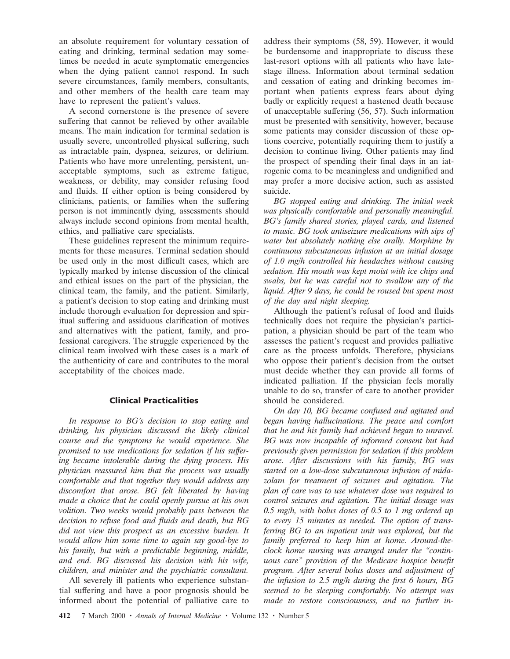an absolute requirement for voluntary cessation of eating and drinking, terminal sedation may sometimes be needed in acute symptomatic emergencies when the dying patient cannot respond. In such severe circumstances, family members, consultants, and other members of the health care team may have to represent the patient's values.

A second cornerstone is the presence of severe suffering that cannot be relieved by other available means. The main indication for terminal sedation is usually severe, uncontrolled physical suffering, such as intractable pain, dyspnea, seizures, or delirium. Patients who have more unrelenting, persistent, unacceptable symptoms, such as extreme fatigue, weakness, or debility, may consider refusing food and fluids. If either option is being considered by clinicians, patients, or families when the suffering person is not imminently dying, assessments should always include second opinions from mental health, ethics, and palliative care specialists.

These guidelines represent the minimum requirements for these measures. Terminal sedation should be used only in the most difficult cases, which are typically marked by intense discussion of the clinical and ethical issues on the part of the physician, the clinical team, the family, and the patient. Similarly, a patient's decision to stop eating and drinking must include thorough evaluation for depression and spiritual suffering and assiduous clarification of motives and alternatives with the patient, family, and professional caregivers. The struggle experienced by the clinical team involved with these cases is a mark of the authenticity of care and contributes to the moral acceptability of the choices made.

# **Clinical Practicalities**

*In response to BG's decision to stop eating and drinking, his physician discussed the likely clinical course and the symptoms he would experience. She promised to use medications for sedation if his suffering became intolerable during the dying process. His physician reassured him that the process was usually comfortable and that together they would address any discomfort that arose. BG felt liberated by having made a choice that he could openly pursue at his own volition. Two weeks would probably pass between the decision to refuse food and fluids and death, but BG did not view this prospect as an excessive burden. It would allow him some time to again say good-bye to his family, but with a predictable beginning, middle, and end. BG discussed his decision with his wife, children, and minister and the psychiatric consultant.*

All severely ill patients who experience substantial suffering and have a poor prognosis should be informed about the potential of palliative care to address their symptoms (58, 59). However, it would be burdensome and inappropriate to discuss these last-resort options with all patients who have latestage illness. Information about terminal sedation and cessation of eating and drinking becomes important when patients express fears about dying badly or explicitly request a hastened death because of unacceptable suffering (56, 57). Such information must be presented with sensitivity, however, because some patients may consider discussion of these options coercive, potentially requiring them to justify a decision to continue living. Other patients may find the prospect of spending their final days in an iatrogenic coma to be meaningless and undignified and may prefer a more decisive action, such as assisted suicide.

*BG stopped eating and drinking. The initial week was physically comfortable and personally meaningful. BG's family shared stories, played cards, and listened to music. BG took antiseizure medications with sips of water but absolutely nothing else orally. Morphine by continuous subcutaneous infusion at an initial dosage of 1.0 mg/h controlled his headaches without causing sedation. His mouth was kept moist with ice chips and swabs, but he was careful not to swallow any of the liquid. After 9 days, he could be roused but spent most of the day and night sleeping.*

Although the patient's refusal of food and fluids technically does not require the physician's participation, a physician should be part of the team who assesses the patient's request and provides palliative care as the process unfolds. Therefore, physicians who oppose their patient's decision from the outset must decide whether they can provide all forms of indicated palliation. If the physician feels morally unable to do so, transfer of care to another provider should be considered.

*On day 10, BG became confused and agitated and began having hallucinations. The peace and comfort that he and his family had achieved began to unravel. BG was now incapable of informed consent but had previously given permission for sedation if this problem arose. After discussions with his family, BG was started on a low-dose subcutaneous infusion of midazolam for treatment of seizures and agitation. The plan of care was to use whatever dose was required to control seizures and agitation. The initial dosage was 0.5 mg/h, with bolus doses of 0.5 to 1 mg ordered up to every 15 minutes as needed. The option of transferring BG to an inpatient unit was explored, but the family preferred to keep him at home. Around-theclock home nursing was arranged under the "continuous care" provision of the Medicare hospice benefit program. After several bolus doses and adjustment of the infusion to 2.5 mg/h during the first 6 hours, BG seemed to be sleeping comfortably. No attempt was made to restore consciousness, and no further in-*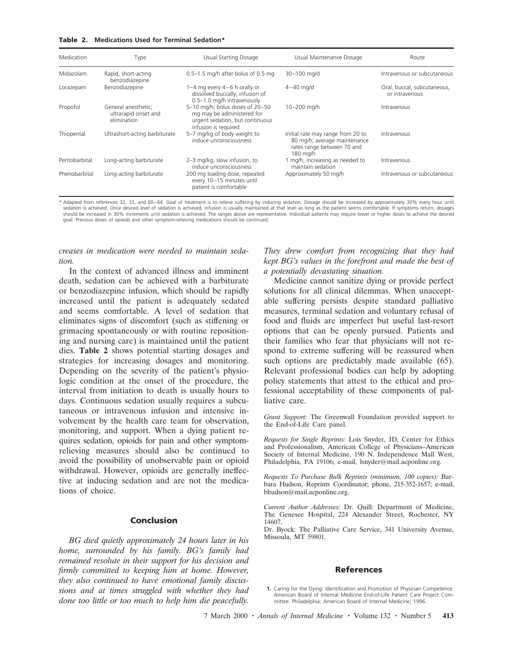|  | <b>Table 2. Medications Used for Terminal Sedation*</b> |  |  |  |
|--|---------------------------------------------------------|--|--|--|
|--|---------------------------------------------------------|--|--|--|

| Medication    | Type                                                       | Usual Starting Dosage                                                                                                    | Usual Maintenance Dosage                                                                                    | Route                                         |
|---------------|------------------------------------------------------------|--------------------------------------------------------------------------------------------------------------------------|-------------------------------------------------------------------------------------------------------------|-----------------------------------------------|
| Midazolam     | Rapid, short-acting<br>benzodiazepine                      | $0.5-1.5$ mg/h after bolus of 0.5 mg                                                                                     | 30-100 mg/d                                                                                                 | Intravenous or subcutaneous                   |
| Lorazepam     | Benzodiazepine                                             | $1-4$ mg every $4-6$ h orally or<br>dissolved buccally; infusion of<br>0.5-1.0 mg/h intravenously                        | $4-40$ mg/d                                                                                                 | Oral, buccal, subcutaneous,<br>or intravenous |
| Propofol      | General anesthetic:<br>ultrarapid onset and<br>elimination | 5-10 mg/h; bolus doses of 20-50<br>mg may be administered for<br>urgent sedation, but continuous<br>infusion is required | 10-200 mg/h                                                                                                 | Intravenous                                   |
| Thiopental    | Ultrashort-acting barbiturate                              | 5-7 mg/kg of body weight to<br>induce unconsciousness                                                                    | Initial rate may range from 20 to<br>80 mg/h; average maintenance<br>rates range between 70 and<br>180 ma/h | Intravenous                                   |
| Pentobarbital | Long-acting barbiturate                                    | 2-3 mg/kg, slow infusion, to<br>induce unconsciousness                                                                   | 1 mg/h, increasing as needed to<br>maintain sedation                                                        | Intravenous                                   |
| Phenobarbital | Long-acting barbiturate                                    | 200 mg loading dose, repeated<br>every 10-15 minutes until<br>patient is comfortable                                     | Approximately 50 mg/h                                                                                       | Intravenous or subcutaneous                   |

\* Adapted from references 32, 33, and 60–64. Goal of treatment is to relieve suffering by inducing sedation. Dosage should be increased by approximately 30% every hour until sedation is achieved. Once desired level of sedation is achieved, infusion is usually maintained at that level as long as the patient seems comfortable. If symptoms return, dosages should be increased in 30% increments until sedation is achieved. The ranges above are representative. Individual patients may require lower or higher doses to achieve the desired goal. Previous doses of opioids and other symptom-relieving medications should be continued.

#### *creases in medication were needed to maintain sedation.*

In the context of advanced illness and imminent death, sedation can be achieved with a barbiturate or benzodiazepine infusion, which should be rapidly increased until the patient is adequately sedated and seems comfortable. A level of sedation that eliminates signs of discomfort (such as stiffening or grimacing spontaneously or with routine repositioning and nursing care) is maintained until the patient dies. **Table 2** shows potential starting dosages and strategies for increasing dosages and monitoring. Depending on the severity of the patient's physiologic condition at the onset of the procedure, the interval from initiation to death is usually hours to days. Continuous sedation usually requires a subcutaneous or intravenous infusion and intensive involvement by the health care team for observation, monitoring, and support. When a dying patient requires sedation, opioids for pain and other symptomrelieving measures should also be continued to avoid the possibility of unobservable pain or opioid withdrawal. However, opioids are generally ineffective at inducing sedation and are not the medications of choice.

#### **Conclusion**

*BG died quietly approximately 24 hours later in his home, surrounded by his family. BG's family had remained resolute in their support for his decision and firmly committed to keeping him at home. However, they also continued to have emotional family discussions and at times struggled with whether they had done too little or too much to help him die peacefully.*

*They drew comfort from recognizing that they had kept BG's values in the forefront and made the best of a potentially devastating situation.*

Medicine cannot sanitize dying or provide perfect solutions for all clinical dilemmas. When unacceptable suffering persists despite standard palliative measures, terminal sedation and voluntary refusal of food and fluids are imperfect but useful last-resort options that can be openly pursued. Patients and their families who fear that physicians will not respond to extreme suffering will be reassured when such options are predictably made available (65). Relevant professional bodies can help by adopting policy statements that attest to the ethical and professional acceptability of these components of palliative care.

*Grant Support:* The Greenwall Foundation provided support to the End-of-Life Care panel.

*Requests for Single Reprints:* Lois Snyder, JD, Center for Ethics and Professionalism, American College of Physicians–American Society of Internal Medicine, 190 N. Independence Mall West, Philadelphia, PA 19106; e-mail, lsnyder@mail.acponline.org.

*Requests To Purchase Bulk Reprints (minimum, 100 copies):* Barbara Hudson, Reprints Coordinator; phone, 215-352-1657; e-mail, bhudson@mail.acponline.org.

*Current Author Addresses:* Dr. Quill: Department of Medicine, The Genesee Hospital, 224 Alexander Street, Rochester, NY 14607.

Dr. Byock: The Palliative Care Service, 341 University Avenue, Missoula, MT 59801.

#### **References**

**1.** Caring for the Dying: Identification and Promotion of Physician Competence. American Board of Internal Medicine End-of-Life Patient Care Project Committee. Philadelphia: American Board of Internal Medicine; 1996.